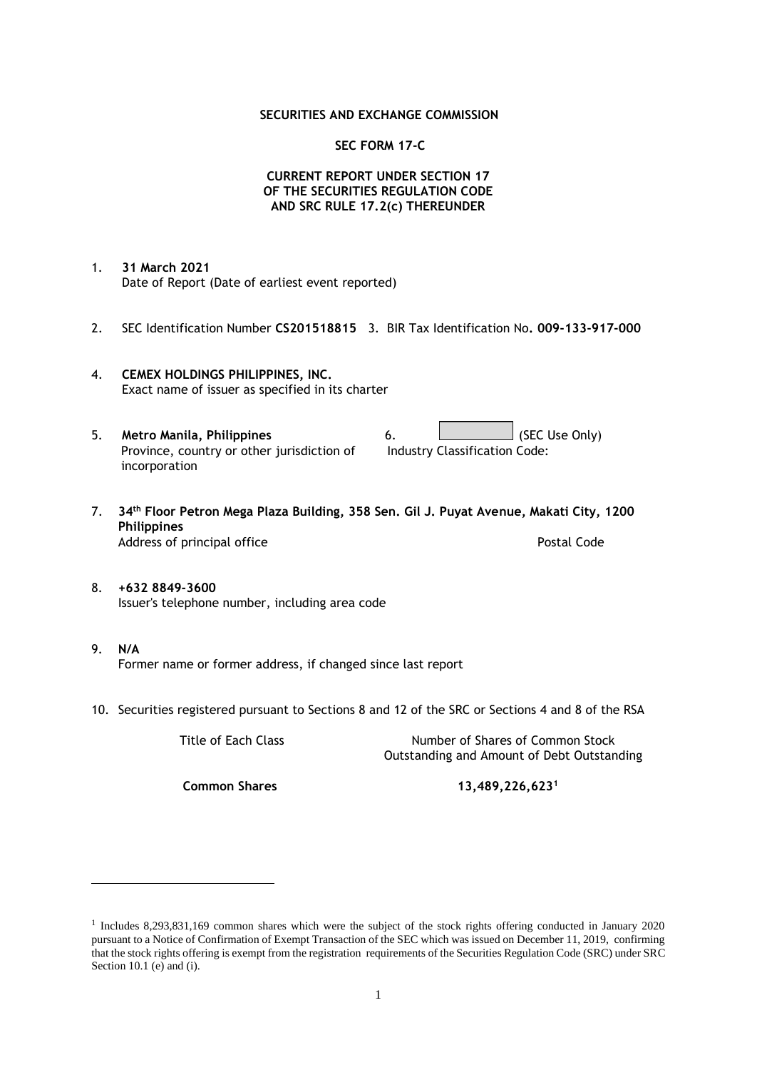### **SECURITIES AND EXCHANGE COMMISSION**

### **SEC FORM 17-C**

## **CURRENT REPORT UNDER SECTION 17 OF THE SECURITIES REGULATION CODE AND SRC RULE 17.2(c) THEREUNDER**

- 1. **31 March 2021** Date of Report (Date of earliest event reported)
- 2. SEC Identification Number **CS201518815** 3. BIR Tax Identification No**. 009-133-917-000**
- 4. **CEMEX HOLDINGS PHILIPPINES, INC.** Exact name of issuer as specified in its charter
- 5. **Metro Manila, Philippines** 6. **Consumers 6.** (SEC Use Only) Province, country or other jurisdiction of incorporation Industry Classification Code:
- 7. **34th Floor Petron Mega Plaza Building, 358 Sen. Gil J. Puyat Avenue, Makati City, 1200 Philippines** Address of principal office **Postal Code** Postal Code
- 8. **+632 8849-3600** Issuer's telephone number, including area code
- 9. **N/A** Former name or former address, if changed since last report
- 10. Securities registered pursuant to Sections 8 and 12 of the SRC or Sections 4 and 8 of the RSA

Title of Each Class Number of Shares of Common Stock Outstanding and Amount of Debt Outstanding

**Common Shares 13,489,226,623<sup>1</sup>**

<sup>1</sup> Includes 8,293,831,169 common shares which were the subject of the stock rights offering conducted in January 2020 pursuant to a Notice of Confirmation of Exempt Transaction of the SEC which was issued on December 11, 2019, confirming that the stock rights offering is exempt from the registration requirements of the Securities Regulation Code (SRC) under SRC Section 10.1 (e) and (i).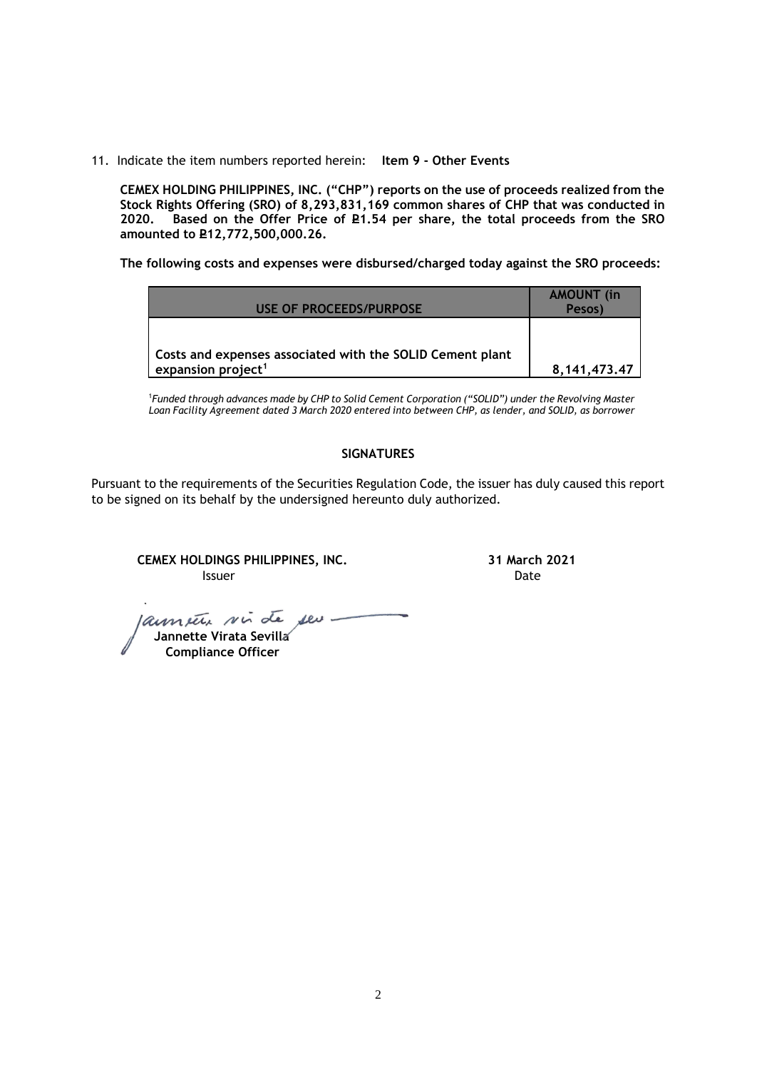11. Indicate the item numbers reported herein: **Item 9 - Other Events**

**CEMEX HOLDING PHILIPPINES, INC. ("CHP") reports on the use of proceeds realized from the Stock Rights Offering (SRO) of 8,293,831,169 common shares of CHP that was conducted in**  Based on the Offer Price of £1.54 per share, the total proceeds from the SRO **amounted to P12,772,500,000.26.** 

**The following costs and expenses were disbursed/charged today against the SRO proceeds:**

| <b>USE OF PROCEEDS/PURPOSE</b>                                                              | <b>AMOUNT</b> (in<br>Pesos) |
|---------------------------------------------------------------------------------------------|-----------------------------|
|                                                                                             |                             |
| Costs and expenses associated with the SOLID Cement plant<br>expansion project <sup>1</sup> | 8, 141, 473, 47             |

<sup>1</sup>*Funded through advances made by CHP to Solid Cement Corporation ("SOLID") under the Revolving Master Loan Facility Agreement dated 3 March 2020 entered into between CHP, as lender, and SOLID, as borrower*

## **SIGNATURES**

Pursuant to the requirements of the Securities Regulation Code, the issuer has duly caused this report to be signed on its behalf by the undersigned hereunto duly authorized.

**CEMEX HOLDINGS PHILIPPINES, INC. 31 March 2021 Issuer Date** 

 **Jannette Virata Sevilla**

 **Compliance Officer**